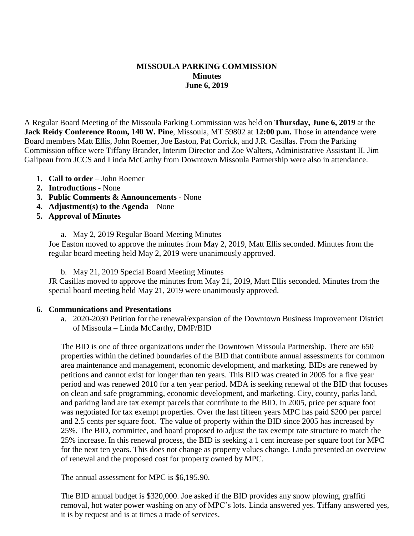### **MISSOULA PARKING COMMISSION Minutes June 6, 2019**

A Regular Board Meeting of the Missoula Parking Commission was held on **Thursday, June 6, 2019** at the **Jack Reidy Conference Room, 140 W. Pine**, Missoula, MT 59802 at **12:00 p.m.** Those in attendance were Board members Matt Ellis, John Roemer, Joe Easton, Pat Corrick, and J.R. Casillas. From the Parking Commission office were Tiffany Brander, Interim Director and Zoe Walters, Administrative Assistant II. Jim Galipeau from JCCS and Linda McCarthy from Downtown Missoula Partnership were also in attendance.

- **1. Call to order** John Roemer
- **2. Introductions** None
- **3. Public Comments & Announcements** None
- **4. Adjustment(s) to the Agenda** None
- **5. Approval of Minutes**
	- a. May 2, 2019 Regular Board Meeting Minutes

Joe Easton moved to approve the minutes from May 2, 2019, Matt Ellis seconded. Minutes from the regular board meeting held May 2, 2019 were unanimously approved.

b. May 21, 2019 Special Board Meeting Minutes

JR Casillas moved to approve the minutes from May 21, 2019, Matt Ellis seconded. Minutes from the special board meeting held May 21, 2019 were unanimously approved.

### **6. Communications and Presentations**

a. 2020-2030 Petition for the renewal/expansion of the Downtown Business Improvement District of Missoula – Linda McCarthy, DMP/BID

The BID is one of three organizations under the Downtown Missoula Partnership. There are 650 properties within the defined boundaries of the BID that contribute annual assessments for common area maintenance and management, economic development, and marketing. BIDs are renewed by petitions and cannot exist for longer than ten years. This BID was created in 2005 for a five year period and was renewed 2010 for a ten year period. MDA is seeking renewal of the BID that focuses on clean and safe programming, economic development, and marketing. City, county, parks land, and parking land are tax exempt parcels that contribute to the BID. In 2005, price per square foot was negotiated for tax exempt properties. Over the last fifteen years MPC has paid \$200 per parcel and 2.5 cents per square foot. The value of property within the BID since 2005 has increased by 25%. The BID, committee, and board proposed to adjust the tax exempt rate structure to match the 25% increase. In this renewal process, the BID is seeking a 1 cent increase per square foot for MPC for the next ten years. This does not change as property values change. Linda presented an overview of renewal and the proposed cost for property owned by MPC.

The annual assessment for MPC is \$6,195.90.

The BID annual budget is \$320,000. Joe asked if the BID provides any snow plowing, graffiti removal, hot water power washing on any of MPC's lots. Linda answered yes. Tiffany answered yes, it is by request and is at times a trade of services.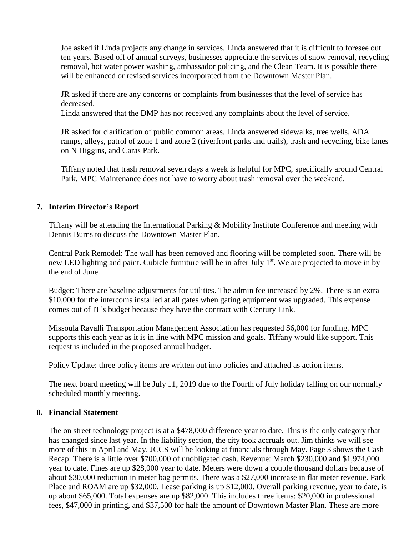Joe asked if Linda projects any change in services. Linda answered that it is difficult to foresee out ten years. Based off of annual surveys, businesses appreciate the services of snow removal, recycling removal, hot water power washing, ambassador policing, and the Clean Team. It is possible there will be enhanced or revised services incorporated from the Downtown Master Plan.

JR asked if there are any concerns or complaints from businesses that the level of service has decreased.

Linda answered that the DMP has not received any complaints about the level of service.

JR asked for clarification of public common areas. Linda answered sidewalks, tree wells, ADA ramps, alleys, patrol of zone 1 and zone 2 (riverfront parks and trails), trash and recycling, bike lanes on N Higgins, and Caras Park.

Tiffany noted that trash removal seven days a week is helpful for MPC, specifically around Central Park. MPC Maintenance does not have to worry about trash removal over the weekend.

# **7. Interim Director's Report**

Tiffany will be attending the International Parking & Mobility Institute Conference and meeting with Dennis Burns to discuss the Downtown Master Plan.

Central Park Remodel: The wall has been removed and flooring will be completed soon. There will be new LED lighting and paint. Cubicle furniture will be in after July 1<sup>st</sup>. We are projected to move in by the end of June.

Budget: There are baseline adjustments for utilities. The admin fee increased by 2%. There is an extra \$10,000 for the intercoms installed at all gates when gating equipment was upgraded. This expense comes out of IT's budget because they have the contract with Century Link.

Missoula Ravalli Transportation Management Association has requested \$6,000 for funding. MPC supports this each year as it is in line with MPC mission and goals. Tiffany would like support. This request is included in the proposed annual budget.

Policy Update: three policy items are written out into policies and attached as action items.

The next board meeting will be July 11, 2019 due to the Fourth of July holiday falling on our normally scheduled monthly meeting.

## **8. Financial Statement**

The on street technology project is at a \$478,000 difference year to date. This is the only category that has changed since last year. In the liability section, the city took accruals out. Jim thinks we will see more of this in April and May. JCCS will be looking at financials through May. Page 3 shows the Cash Recap: There is a little over \$700,000 of unobligated cash. Revenue: March \$230,000 and \$1,974,000 year to date. Fines are up \$28,000 year to date. Meters were down a couple thousand dollars because of about \$30,000 reduction in meter bag permits. There was a \$27,000 increase in flat meter revenue. Park Place and ROAM are up \$32,000. Lease parking is up \$12,000. Overall parking revenue, year to date, is up about \$65,000. Total expenses are up \$82,000. This includes three items: \$20,000 in professional fees, \$47,000 in printing, and \$37,500 for half the amount of Downtown Master Plan. These are more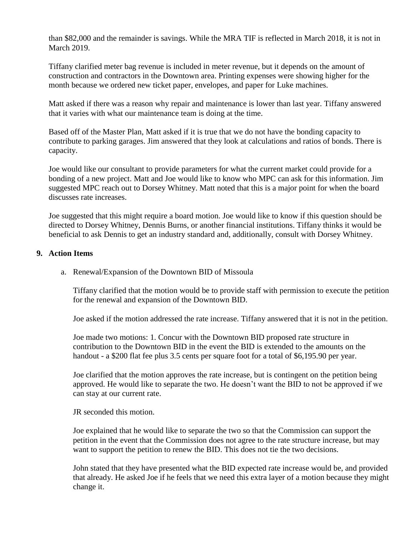than \$82,000 and the remainder is savings. While the MRA TIF is reflected in March 2018, it is not in March 2019.

Tiffany clarified meter bag revenue is included in meter revenue, but it depends on the amount of construction and contractors in the Downtown area. Printing expenses were showing higher for the month because we ordered new ticket paper, envelopes, and paper for Luke machines.

Matt asked if there was a reason why repair and maintenance is lower than last year. Tiffany answered that it varies with what our maintenance team is doing at the time.

Based off of the Master Plan, Matt asked if it is true that we do not have the bonding capacity to contribute to parking garages. Jim answered that they look at calculations and ratios of bonds. There is capacity.

Joe would like our consultant to provide parameters for what the current market could provide for a bonding of a new project. Matt and Joe would like to know who MPC can ask for this information. Jim suggested MPC reach out to Dorsey Whitney. Matt noted that this is a major point for when the board discusses rate increases.

Joe suggested that this might require a board motion. Joe would like to know if this question should be directed to Dorsey Whitney, Dennis Burns, or another financial institutions. Tiffany thinks it would be beneficial to ask Dennis to get an industry standard and, additionally, consult with Dorsey Whitney.

### **9. Action Items**

a. Renewal/Expansion of the Downtown BID of Missoula

Tiffany clarified that the motion would be to provide staff with permission to execute the petition for the renewal and expansion of the Downtown BID.

Joe asked if the motion addressed the rate increase. Tiffany answered that it is not in the petition.

Joe made two motions: 1. Concur with the Downtown BID proposed rate structure in contribution to the Downtown BID in the event the BID is extended to the amounts on the handout - a \$200 flat fee plus 3.5 cents per square foot for a total of \$6,195.90 per year.

Joe clarified that the motion approves the rate increase, but is contingent on the petition being approved. He would like to separate the two. He doesn't want the BID to not be approved if we can stay at our current rate.

JR seconded this motion.

Joe explained that he would like to separate the two so that the Commission can support the petition in the event that the Commission does not agree to the rate structure increase, but may want to support the petition to renew the BID. This does not tie the two decisions.

John stated that they have presented what the BID expected rate increase would be, and provided that already. He asked Joe if he feels that we need this extra layer of a motion because they might change it.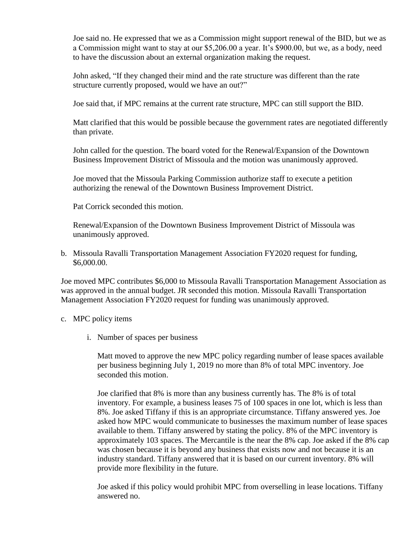Joe said no. He expressed that we as a Commission might support renewal of the BID, but we as a Commission might want to stay at our \$5,206.00 a year. It's \$900.00, but we, as a body, need to have the discussion about an external organization making the request.

John asked, "If they changed their mind and the rate structure was different than the rate structure currently proposed, would we have an out?"

Joe said that, if MPC remains at the current rate structure, MPC can still support the BID.

Matt clarified that this would be possible because the government rates are negotiated differently than private.

John called for the question. The board voted for the Renewal/Expansion of the Downtown Business Improvement District of Missoula and the motion was unanimously approved.

Joe moved that the Missoula Parking Commission authorize staff to execute a petition authorizing the renewal of the Downtown Business Improvement District.

Pat Corrick seconded this motion.

Renewal/Expansion of the Downtown Business Improvement District of Missoula was unanimously approved.

b. Missoula Ravalli Transportation Management Association FY2020 request for funding, \$6,000.00.

Joe moved MPC contributes \$6,000 to Missoula Ravalli Transportation Management Association as was approved in the annual budget. JR seconded this motion. Missoula Ravalli Transportation Management Association FY2020 request for funding was unanimously approved.

- c. MPC policy items
	- i. Number of spaces per business

Matt moved to approve the new MPC policy regarding number of lease spaces available per business beginning July 1, 2019 no more than 8% of total MPC inventory. Joe seconded this motion.

Joe clarified that 8% is more than any business currently has. The 8% is of total inventory. For example, a business leases 75 of 100 spaces in one lot, which is less than 8%. Joe asked Tiffany if this is an appropriate circumstance. Tiffany answered yes. Joe asked how MPC would communicate to businesses the maximum number of lease spaces available to them. Tiffany answered by stating the policy. 8% of the MPC inventory is approximately 103 spaces. The Mercantile is the near the 8% cap. Joe asked if the 8% cap was chosen because it is beyond any business that exists now and not because it is an industry standard. Tiffany answered that it is based on our current inventory. 8% will provide more flexibility in the future.

Joe asked if this policy would prohibit MPC from overselling in lease locations. Tiffany answered no.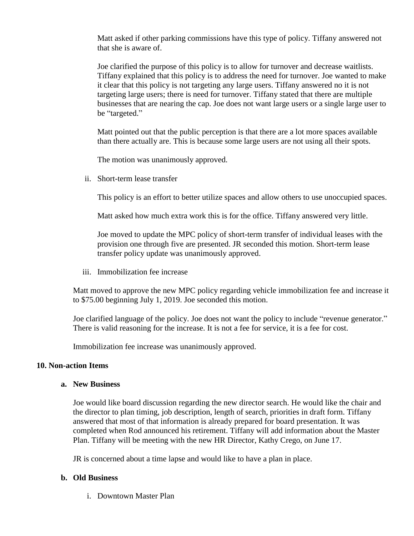Matt asked if other parking commissions have this type of policy. Tiffany answered not that she is aware of.

Joe clarified the purpose of this policy is to allow for turnover and decrease waitlists. Tiffany explained that this policy is to address the need for turnover. Joe wanted to make it clear that this policy is not targeting any large users. Tiffany answered no it is not targeting large users; there is need for turnover. Tiffany stated that there are multiple businesses that are nearing the cap. Joe does not want large users or a single large user to be "targeted."

Matt pointed out that the public perception is that there are a lot more spaces available than there actually are. This is because some large users are not using all their spots.

The motion was unanimously approved.

ii. Short-term lease transfer

This policy is an effort to better utilize spaces and allow others to use unoccupied spaces.

Matt asked how much extra work this is for the office. Tiffany answered very little.

Joe moved to update the MPC policy of short-term transfer of individual leases with the provision one through five are presented. JR seconded this motion. Short-term lease transfer policy update was unanimously approved.

iii. Immobilization fee increase

Matt moved to approve the new MPC policy regarding vehicle immobilization fee and increase it to \$75.00 beginning July 1, 2019. Joe seconded this motion.

Joe clarified language of the policy. Joe does not want the policy to include "revenue generator." There is valid reasoning for the increase. It is not a fee for service, it is a fee for cost.

Immobilization fee increase was unanimously approved.

### **10. Non-action Items**

#### **a. New Business**

Joe would like board discussion regarding the new director search. He would like the chair and the director to plan timing, job description, length of search, priorities in draft form. Tiffany answered that most of that information is already prepared for board presentation. It was completed when Rod announced his retirement. Tiffany will add information about the Master Plan. Tiffany will be meeting with the new HR Director, Kathy Crego, on June 17.

JR is concerned about a time lapse and would like to have a plan in place.

### **b. Old Business**

i. Downtown Master Plan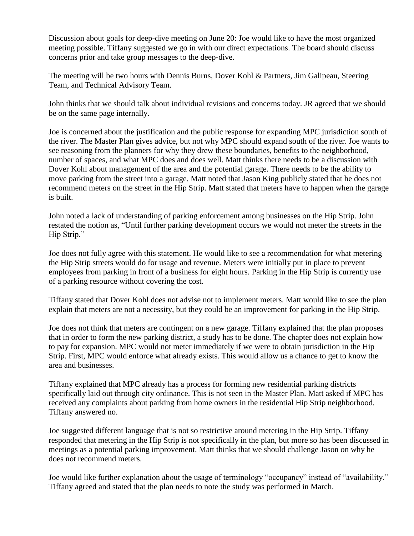Discussion about goals for deep-dive meeting on June 20: Joe would like to have the most organized meeting possible. Tiffany suggested we go in with our direct expectations. The board should discuss concerns prior and take group messages to the deep-dive.

The meeting will be two hours with Dennis Burns, Dover Kohl & Partners, Jim Galipeau, Steering Team, and Technical Advisory Team.

John thinks that we should talk about individual revisions and concerns today. JR agreed that we should be on the same page internally.

Joe is concerned about the justification and the public response for expanding MPC jurisdiction south of the river. The Master Plan gives advice, but not why MPC should expand south of the river. Joe wants to see reasoning from the planners for why they drew these boundaries, benefits to the neighborhood, number of spaces, and what MPC does and does well. Matt thinks there needs to be a discussion with Dover Kohl about management of the area and the potential garage. There needs to be the ability to move parking from the street into a garage. Matt noted that Jason King publicly stated that he does not recommend meters on the street in the Hip Strip. Matt stated that meters have to happen when the garage is built.

John noted a lack of understanding of parking enforcement among businesses on the Hip Strip. John restated the notion as, "Until further parking development occurs we would not meter the streets in the Hip Strip."

Joe does not fully agree with this statement. He would like to see a recommendation for what metering the Hip Strip streets would do for usage and revenue. Meters were initially put in place to prevent employees from parking in front of a business for eight hours. Parking in the Hip Strip is currently use of a parking resource without covering the cost.

Tiffany stated that Dover Kohl does not advise not to implement meters. Matt would like to see the plan explain that meters are not a necessity, but they could be an improvement for parking in the Hip Strip.

Joe does not think that meters are contingent on a new garage. Tiffany explained that the plan proposes that in order to form the new parking district, a study has to be done. The chapter does not explain how to pay for expansion. MPC would not meter immediately if we were to obtain jurisdiction in the Hip Strip. First, MPC would enforce what already exists. This would allow us a chance to get to know the area and businesses.

Tiffany explained that MPC already has a process for forming new residential parking districts specifically laid out through city ordinance. This is not seen in the Master Plan. Matt asked if MPC has received any complaints about parking from home owners in the residential Hip Strip neighborhood. Tiffany answered no.

Joe suggested different language that is not so restrictive around metering in the Hip Strip. Tiffany responded that metering in the Hip Strip is not specifically in the plan, but more so has been discussed in meetings as a potential parking improvement. Matt thinks that we should challenge Jason on why he does not recommend meters.

Joe would like further explanation about the usage of terminology "occupancy" instead of "availability." Tiffany agreed and stated that the plan needs to note the study was performed in March.